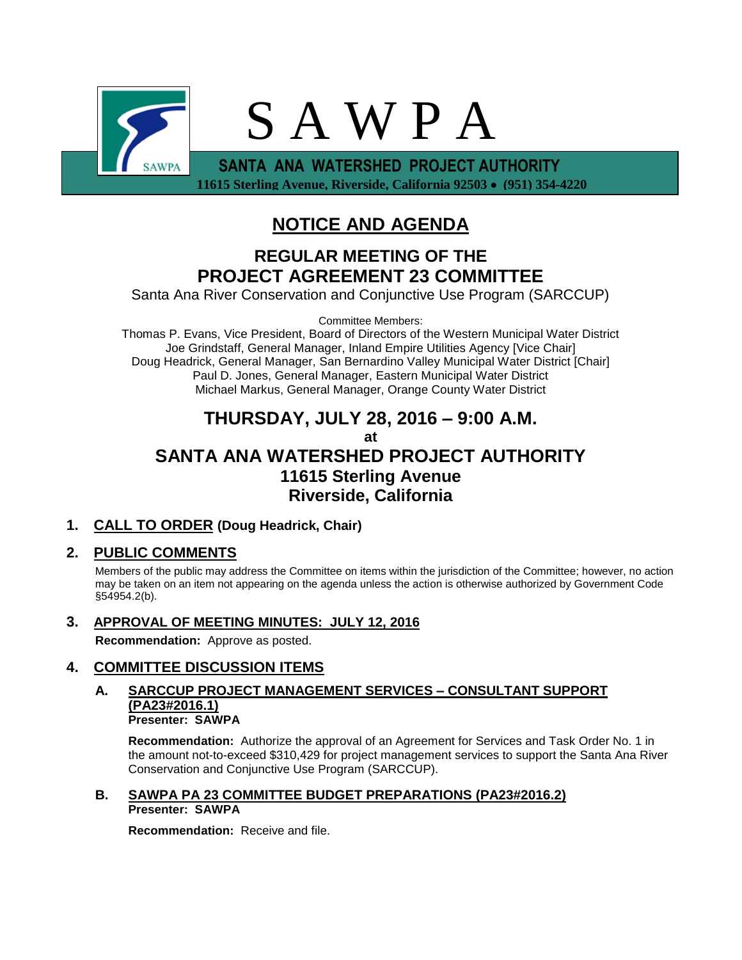

 **11615 Sterling Avenue, Riverside, California 92503 (951) 354-4220**

# **NOTICE AND AGENDA**

# **REGULAR MEETING OF THE PROJECT AGREEMENT 23 COMMITTEE**

Santa Ana River Conservation and Conjunctive Use Program (SARCCUP)

Committee Members:

Thomas P. Evans, Vice President, Board of Directors of the Western Municipal Water District Joe Grindstaff, General Manager, Inland Empire Utilities Agency [Vice Chair] Doug Headrick, General Manager, San Bernardino Valley Municipal Water District [Chair] Paul D. Jones, General Manager, Eastern Municipal Water District Michael Markus, General Manager, Orange County Water District

## **THURSDAY, JULY 28, 2016 – 9:00 A.M. at SANTA ANA WATERSHED PROJECT AUTHORITY 11615 Sterling Avenue Riverside, California**

## **1. CALL TO ORDER (Doug Headrick, Chair)**

## **2. PUBLIC COMMENTS**

Members of the public may address the Committee on items within the jurisdiction of the Committee; however, no action may be taken on an item not appearing on the agenda unless the action is otherwise authorized by Government Code §54954.2(b).

**3. APPROVAL OF MEETING MINUTES: JULY 12, 2016 Recommendation:** Approve as posted.

## **4. COMMITTEE DISCUSSION ITEMS**

#### **A. SARCCUP PROJECT MANAGEMENT SERVICES – CONSULTANT SUPPORT (PA23#2016.1) Presenter: SAWPA**

**Recommendation:** Authorize the approval of an Agreement for Services and Task Order No. 1 in the amount not-to-exceed \$310,429 for project management services to support the Santa Ana River Conservation and Conjunctive Use Program (SARCCUP).

## **B. SAWPA PA 23 COMMITTEE BUDGET PREPARATIONS (PA23#2016.2) Presenter: SAWPA**

**Recommendation:** Receive and file.